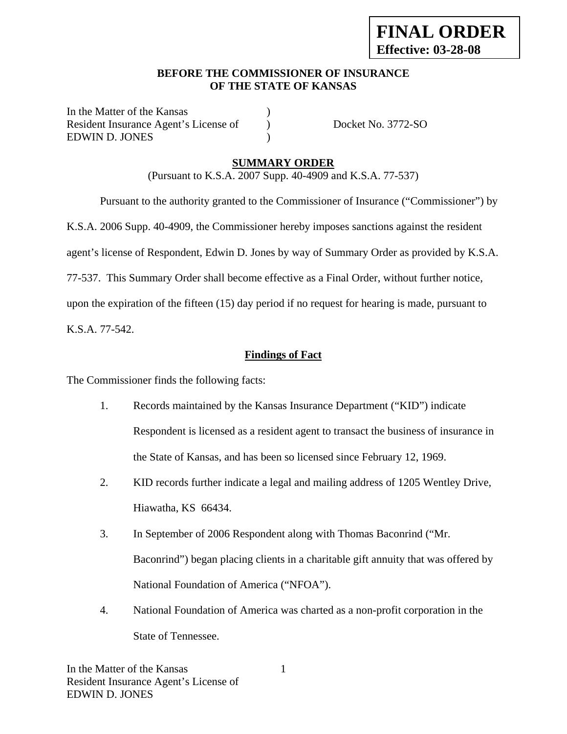### **BEFORE THE COMMISSIONER OF INSURANCE OF THE STATE OF KANSAS**

In the Matter of the Kansas Resident Insurance Agent's License of ) Docket No. 3772-SO EDWIN D. JONES (1997)

## **SUMMARY ORDER**

(Pursuant to K.S.A. 2007 Supp. 40-4909 and K.S.A. 77-537)

 Pursuant to the authority granted to the Commissioner of Insurance ("Commissioner") by K.S.A. 2006 Supp. 40-4909, the Commissioner hereby imposes sanctions against the resident agent's license of Respondent, Edwin D. Jones by way of Summary Order as provided by K.S.A. 77-537. This Summary Order shall become effective as a Final Order, without further notice, upon the expiration of the fifteen (15) day period if no request for hearing is made, pursuant to

K.S.A. 77-542.

## **Findings of Fact**

The Commissioner finds the following facts:

- 1. Records maintained by the Kansas Insurance Department ("KID") indicate Respondent is licensed as a resident agent to transact the business of insurance in the State of Kansas, and has been so licensed since February 12, 1969.
- 2. KID records further indicate a legal and mailing address of 1205 Wentley Drive, Hiawatha, KS 66434.
- 3. In September of 2006 Respondent along with Thomas Baconrind ("Mr. Baconrind") began placing clients in a charitable gift annuity that was offered by National Foundation of America ("NFOA").
- 4. National Foundation of America was charted as a non-profit corporation in the State of Tennessee.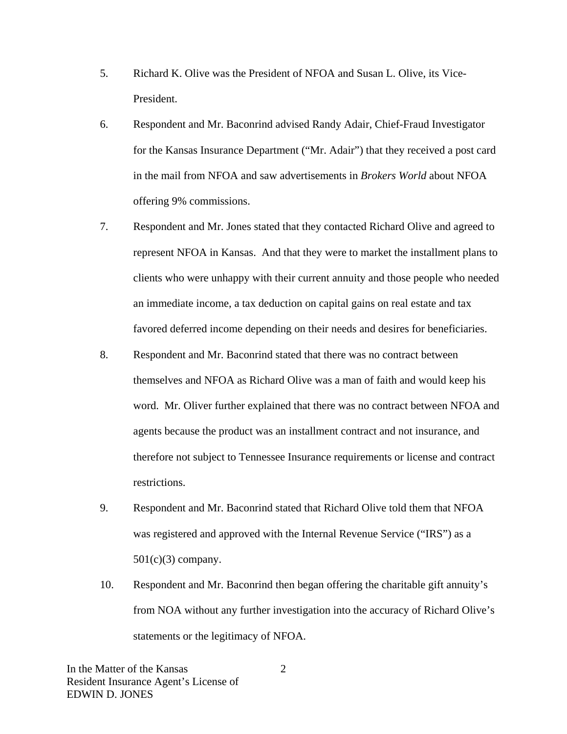- 5. Richard K. Olive was the President of NFOA and Susan L. Olive, its Vice-President.
- 6. Respondent and Mr. Baconrind advised Randy Adair, Chief-Fraud Investigator for the Kansas Insurance Department ("Mr. Adair") that they received a post card in the mail from NFOA and saw advertisements in *Brokers World* about NFOA offering 9% commissions.
- 7. Respondent and Mr. Jones stated that they contacted Richard Olive and agreed to represent NFOA in Kansas. And that they were to market the installment plans to clients who were unhappy with their current annuity and those people who needed an immediate income, a tax deduction on capital gains on real estate and tax favored deferred income depending on their needs and desires for beneficiaries.
- 8. Respondent and Mr. Baconrind stated that there was no contract between themselves and NFOA as Richard Olive was a man of faith and would keep his word. Mr. Oliver further explained that there was no contract between NFOA and agents because the product was an installment contract and not insurance, and therefore not subject to Tennessee Insurance requirements or license and contract restrictions.
- 9. Respondent and Mr. Baconrind stated that Richard Olive told them that NFOA was registered and approved with the Internal Revenue Service ("IRS") as a  $501(c)(3)$  company.
- 10. Respondent and Mr. Baconrind then began offering the charitable gift annuity's from NOA without any further investigation into the accuracy of Richard Olive's statements or the legitimacy of NFOA.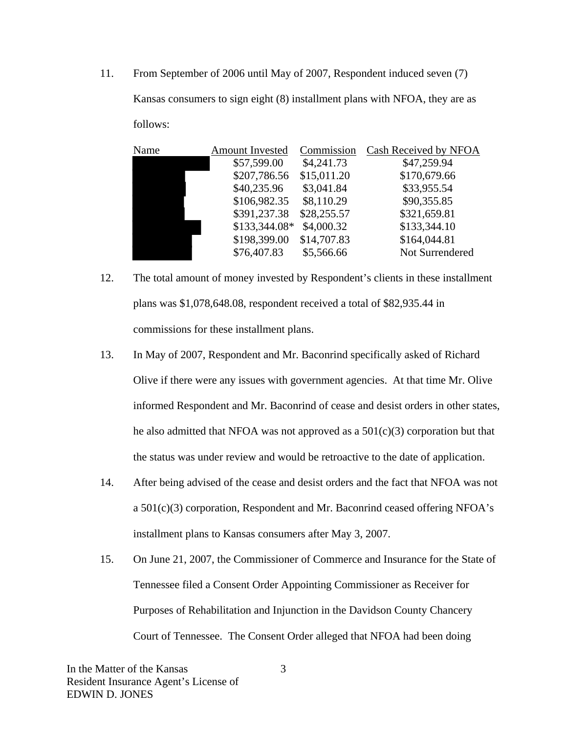11. From September of 2006 until May of 2007, Respondent induced seven (7) Kansas consumers to sign eight (8) installment plans with NFOA, they are as follows:

| Name | <b>Amount Invested</b> | Commission  | Cash Received by NFOA |
|------|------------------------|-------------|-----------------------|
|      | \$57,599.00            | \$4,241.73  | \$47,259.94           |
|      | \$207,786.56           | \$15,011.20 | \$170,679.66          |
|      | \$40,235.96            | \$3,041.84  | \$33,955.54           |
|      | \$106,982.35           | \$8,110.29  | \$90,355.85           |
|      | \$391,237.38           | \$28,255.57 | \$321,659.81          |
|      | \$133,344.08*          | \$4,000.32  | \$133,344.10          |
|      | \$198,399.00           | \$14,707.83 | \$164,044.81          |
|      | \$76,407.83            | \$5,566.66  | Not Surrendered       |

- 12. The total amount of money invested by Respondent's clients in these installment plans was \$1,078,648.08, respondent received a total of \$82,935.44 in commissions for these installment plans.
- 13. In May of 2007, Respondent and Mr. Baconrind specifically asked of Richard Olive if there were any issues with government agencies. At that time Mr. Olive informed Respondent and Mr. Baconrind of cease and desist orders in other states, he also admitted that NFOA was not approved as a  $501(c)(3)$  corporation but that the status was under review and would be retroactive to the date of application.
- 14. After being advised of the cease and desist orders and the fact that NFOA was not a 501(c)(3) corporation, Respondent and Mr. Baconrind ceased offering NFOA's installment plans to Kansas consumers after May 3, 2007.
- 15. On June 21, 2007, the Commissioner of Commerce and Insurance for the State of Tennessee filed a Consent Order Appointing Commissioner as Receiver for Purposes of Rehabilitation and Injunction in the Davidson County Chancery Court of Tennessee. The Consent Order alleged that NFOA had been doing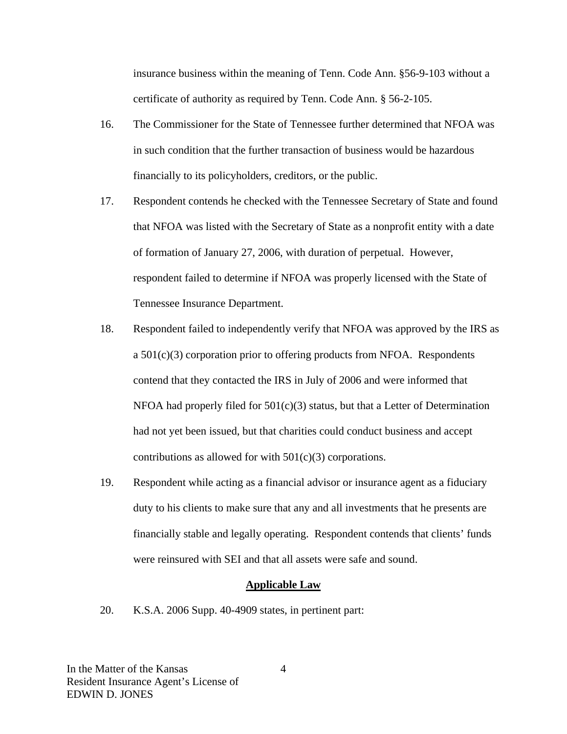insurance business within the meaning of Tenn. Code Ann. §56-9-103 without a certificate of authority as required by Tenn. Code Ann. § 56-2-105.

- 16. The Commissioner for the State of Tennessee further determined that NFOA was in such condition that the further transaction of business would be hazardous financially to its policyholders, creditors, or the public.
- 17. Respondent contends he checked with the Tennessee Secretary of State and found that NFOA was listed with the Secretary of State as a nonprofit entity with a date of formation of January 27, 2006, with duration of perpetual. However, respondent failed to determine if NFOA was properly licensed with the State of Tennessee Insurance Department.
- 18. Respondent failed to independently verify that NFOA was approved by the IRS as a 501(c)(3) corporation prior to offering products from NFOA. Respondents contend that they contacted the IRS in July of 2006 and were informed that NFOA had properly filed for  $501(c)(3)$  status, but that a Letter of Determination had not yet been issued, but that charities could conduct business and accept contributions as allowed for with 501(c)(3) corporations.
- 19. Respondent while acting as a financial advisor or insurance agent as a fiduciary duty to his clients to make sure that any and all investments that he presents are financially stable and legally operating. Respondent contends that clients' funds were reinsured with SEI and that all assets were safe and sound.

#### **Applicable Law**

20. K.S.A. 2006 Supp. 40-4909 states, in pertinent part: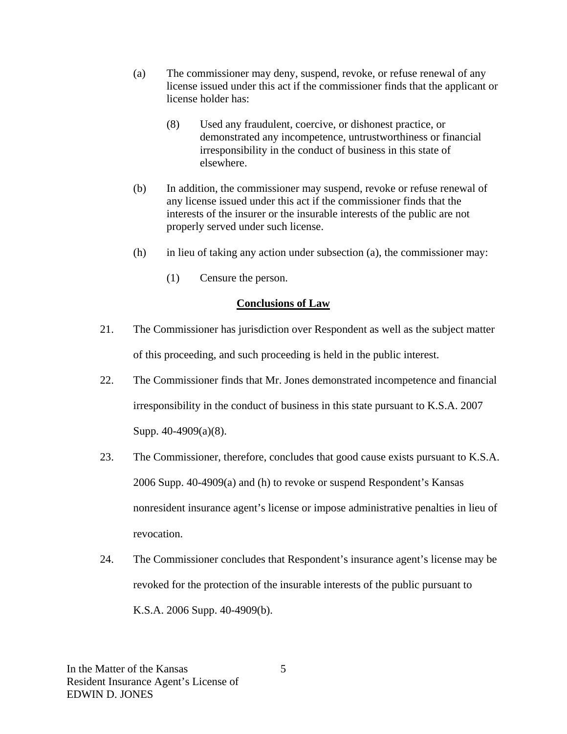- (a) The commissioner may deny, suspend, revoke, or refuse renewal of any license issued under this act if the commissioner finds that the applicant or license holder has:
	- (8) Used any fraudulent, coercive, or dishonest practice, or demonstrated any incompetence, untrustworthiness or financial irresponsibility in the conduct of business in this state of elsewhere.
- (b) In addition, the commissioner may suspend, revoke or refuse renewal of any license issued under this act if the commissioner finds that the interests of the insurer or the insurable interests of the public are not properly served under such license.
- (h) in lieu of taking any action under subsection (a), the commissioner may:
	- (1) Censure the person.

#### **Conclusions of Law**

- 21. The Commissioner has jurisdiction over Respondent as well as the subject matter of this proceeding, and such proceeding is held in the public interest.
- 22. The Commissioner finds that Mr. Jones demonstrated incompetence and financial irresponsibility in the conduct of business in this state pursuant to K.S.A. 2007 Supp. 40-4909(a)(8).
- 23. The Commissioner, therefore, concludes that good cause exists pursuant to K.S.A. 2006 Supp. 40-4909(a) and (h) to revoke or suspend Respondent's Kansas nonresident insurance agent's license or impose administrative penalties in lieu of revocation.
- 24. The Commissioner concludes that Respondent's insurance agent's license may be revoked for the protection of the insurable interests of the public pursuant to K.S.A. 2006 Supp. 40-4909(b).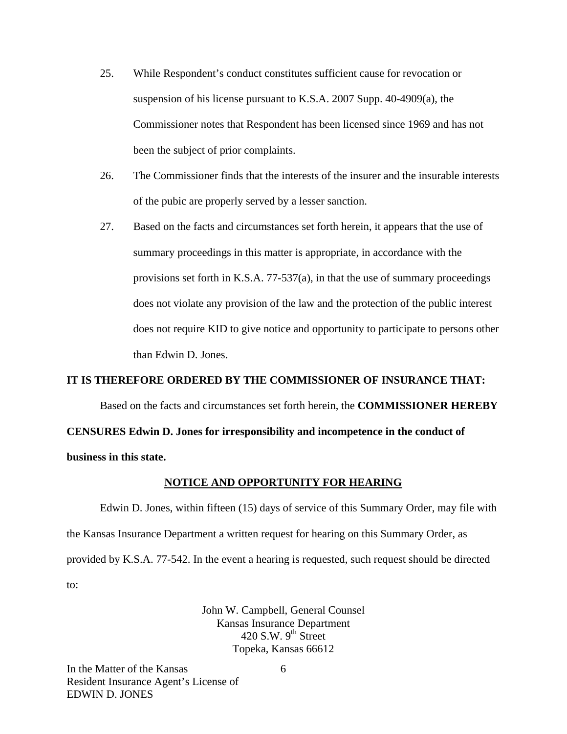- 25. While Respondent's conduct constitutes sufficient cause for revocation or suspension of his license pursuant to K.S.A. 2007 Supp. 40-4909(a), the Commissioner notes that Respondent has been licensed since 1969 and has not been the subject of prior complaints.
- 26. The Commissioner finds that the interests of the insurer and the insurable interests of the pubic are properly served by a lesser sanction.
- 27. Based on the facts and circumstances set forth herein, it appears that the use of summary proceedings in this matter is appropriate, in accordance with the provisions set forth in K.S.A. 77-537(a), in that the use of summary proceedings does not violate any provision of the law and the protection of the public interest does not require KID to give notice and opportunity to participate to persons other than Edwin D. Jones.

#### **IT IS THEREFORE ORDERED BY THE COMMISSIONER OF INSURANCE THAT:**

Based on the facts and circumstances set forth herein, the **COMMISSIONER HEREBY** 

**CENSURES Edwin D. Jones for irresponsibility and incompetence in the conduct of** 

**business in this state.** 

#### **NOTICE AND OPPORTUNITY FOR HEARING**

Edwin D. Jones, within fifteen (15) days of service of this Summary Order, may file with the Kansas Insurance Department a written request for hearing on this Summary Order, as provided by K.S.A. 77-542. In the event a hearing is requested, such request should be directed to:

> John W. Campbell, General Counsel Kansas Insurance Department 420 S.W.  $9<sup>th</sup>$  Street Topeka, Kansas 66612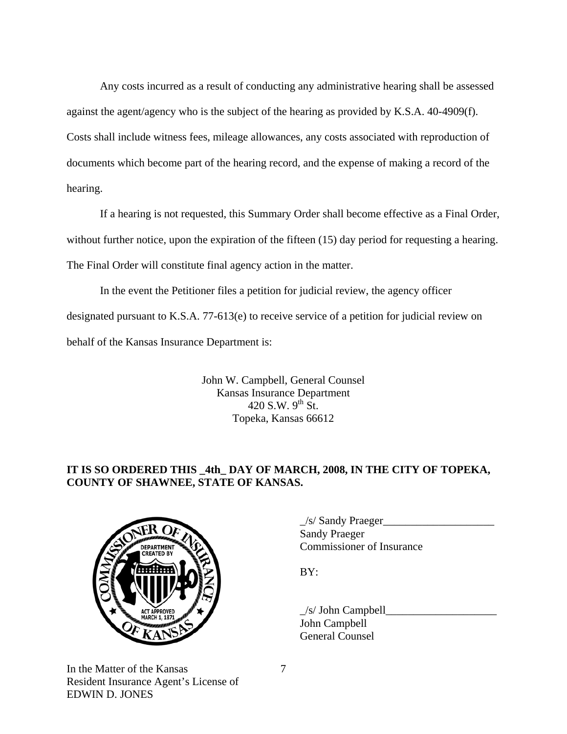Any costs incurred as a result of conducting any administrative hearing shall be assessed against the agent/agency who is the subject of the hearing as provided by K.S.A. 40-4909(f). Costs shall include witness fees, mileage allowances, any costs associated with reproduction of documents which become part of the hearing record, and the expense of making a record of the hearing.

If a hearing is not requested, this Summary Order shall become effective as a Final Order, without further notice, upon the expiration of the fifteen (15) day period for requesting a hearing. The Final Order will constitute final agency action in the matter.

In the event the Petitioner files a petition for judicial review, the agency officer designated pursuant to K.S.A. 77-613(e) to receive service of a petition for judicial review on behalf of the Kansas Insurance Department is:

> John W. Campbell, General Counsel Kansas Insurance Department 420 S.W.  $9^{th}$  St. Topeka, Kansas 66612

# **IT IS SO ORDERED THIS \_4th\_ DAY OF MARCH, 2008, IN THE CITY OF TOPEKA, COUNTY OF SHAWNEE, STATE OF KANSAS.**



In the Matter of the Kansas Resident Insurance Agent's License of EDWIN D. JONES

 $\angle$ s/ Sandy Praeger $\angle$  Sandy Praeger COMMISSIONER COMMISSIONER OF Insurance

 $\angle$ s/ John Campbell John Campbell General Counsel

7